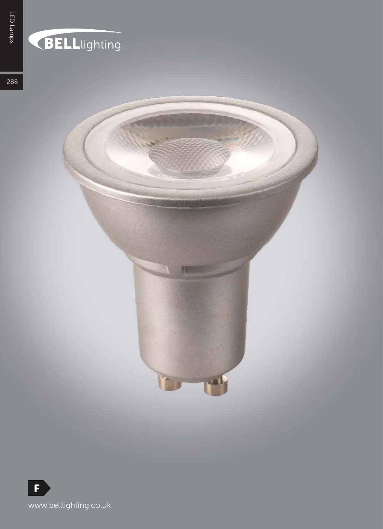## BELLlighting

288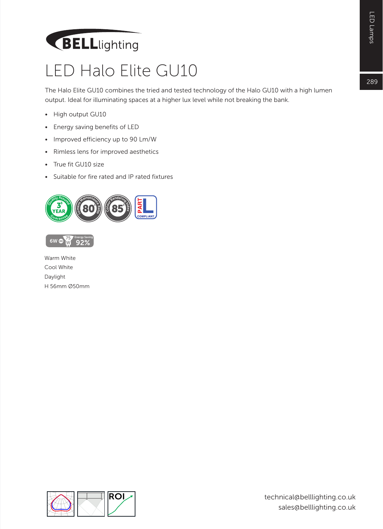## BELLlighting

## LED Halo Elite GU10

The Halo Elite GU10 combines the tried and tested technology of the Halo GU10 with a high lumen output. Ideal for illuminating spaces at a higher lux level while not breaking the bank.

- High output GU10
- Energy saving benefits of LED
- Improved efficiency up to 90 Lm/W
- Rimless lens for improved aesthetics
- True fit GU10 size
- Suitable for fire rated and IP rated fixtures



Warm White Cool White Daylight H 56mm Ø50mm



289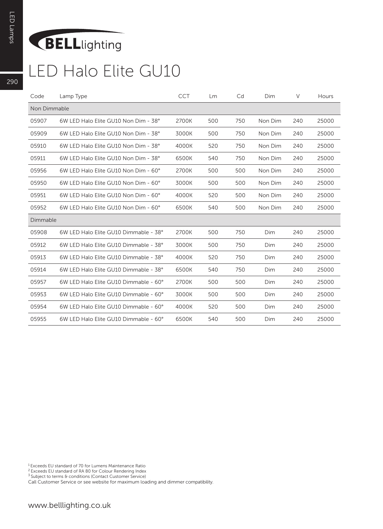## BELLlighting

| Code         | Lamp Type                             | <b>CCT</b> | <b>Lm</b> | Cd  | Dim     | V   | Hours |
|--------------|---------------------------------------|------------|-----------|-----|---------|-----|-------|
| Non Dimmable |                                       |            |           |     |         |     |       |
| 05907        | 6W LED Halo Elite GU10 Non Dim - 38°  | 2700K      | 500       | 750 | Non Dim | 240 | 25000 |
| 05909        | 6W LED Halo Elite GU10 Non Dim - 38°  | 3000K      | 500       | 750 | Non Dim | 240 | 25000 |
| 05910        | 6W LED Halo Elite GU10 Non Dim - 38°  | 4000K      | 520       | 750 | Non Dim | 240 | 25000 |
| 05911        | 6W LED Halo Elite GU10 Non Dim - 38°  | 6500K      | 540       | 750 | Non Dim | 240 | 25000 |
| 05956        | 6W LED Halo Elite GU10 Non Dim - 60°  | 2700K      | 500       | 500 | Non Dim | 240 | 25000 |
| 05950        | 6W LED Halo Elite GU10 Non Dim - 60°  | 3000K      | 500       | 500 | Non Dim | 240 | 25000 |
| 05951        | 6W LED Halo Elite GU10 Non Dim - 60°  | 4000K      | 520       | 500 | Non Dim | 240 | 25000 |
| 05952        | 6W LED Halo Elite GU10 Non Dim - 60°  | 6500K      | 540       | 500 | Non Dim | 240 | 25000 |
| Dimmable     |                                       |            |           |     |         |     |       |
| 05908        | 6W LED Halo Elite GU10 Dimmable - 38° | 2700K      | 500       | 750 | Dim     | 240 | 25000 |
| 05912        | 6W LED Halo Elite GU10 Dimmable - 38° | 3000K      | 500       | 750 | Dim     | 240 | 25000 |
| 05913        | 6W LED Halo Elite GU10 Dimmable - 38° | 4000K      | 520       | 750 | Dim     | 240 | 25000 |
| 05914        | 6W LED Halo Elite GU10 Dimmable - 38° | 6500K      | 540       | 750 | Dim     | 240 | 25000 |
| 05957        | 6W LED Halo Elite GU10 Dimmable - 60° | 2700K      | 500       | 500 | Dim     | 240 | 25000 |
| 05953        | 6W LED Halo Elite GU10 Dimmable - 60° | 3000K      | 500       | 500 | Dim     | 240 | 25000 |
| 05954        | 6W LED Halo Elite GU10 Dimmable - 60° | 4000K      | 520       | 500 | Dim     | 240 | 25000 |
| 05955        | 6W LED Halo Elite GU10 Dimmable - 60° | 6500K      | 540       | 500 | Dim     | 240 | 25000 |

1 Exceeds EU standard of 70 for Lumens Maintenance Ratio

<sup>2</sup> Exceeds EU standard of RA 80 for Colour Rendering Index<br><sup>3</sup> Subject to terms & conditions (Contact Customer Service)

Call Customer Service or see website for maximum loading and dimmer compatibility.